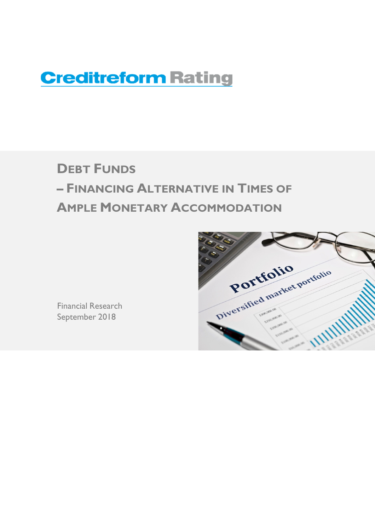# **Creditreform Rating**

# **DEBT FUNDS – FINANCING ALTERNATIVE IN TIMES OF AMPLE MONETARY ACCOMMODATION**



Financial Research September 2018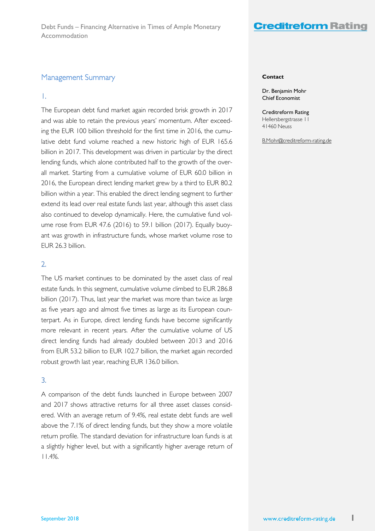### Management Summary

### 1.

The European debt fund market again recorded brisk growth in 2017 and was able to retain the previous years' momentum. After exceeding the EUR 100 billion threshold for the first time in 2016, the cumulative debt fund volume reached a new historic high of EUR 165.6 billion in 2017. This development was driven in particular by the direct lending funds, which alone contributed half to the growth of the overall market. Starting from a cumulative volume of EUR 60.0 billion in 2016, the European direct lending market grew by a third to EUR 80.2 billion within a year. This enabled the direct lending segment to further extend its lead over real estate funds last year, although this asset class also continued to develop dynamically. Here, the cumulative fund volume rose from EUR 47.6 (2016) to 59.1 billion (2017). Equally buoyant was growth in infrastructure funds, whose market volume rose to EUR 26.3 billion.

### 2.

The US market continues to be dominated by the asset class of real estate funds. In this segment, cumulative volume climbed to EUR 286.8 billion (2017). Thus, last year the market was more than twice as large as five years ago and almost five times as large as its European counterpart. As in Europe, direct lending funds have become significantly more relevant in recent years. After the cumulative volume of US direct lending funds had already doubled between 2013 and 2016 from EUR 53.2 billion to EUR 102.7 billion, the market again recorded robust growth last year, reaching EUR 136.0 billion.

### 3.

A comparison of the debt funds launched in Europe between 2007 and 2017 shows attractive returns for all three asset classes considered. With an average return of 9.4%, real estate debt funds are well above the 7.1% of direct lending funds, but they show a more volatile return profile. The standard deviation for infrastructure loan funds is at a slightly higher level, but with a significantly higher average return of 11.4%.

#### **Contact**

Dr. Benjamin Mohr Chief Economist

Creditreform Rating Hellersbergstrasse 11 41460 Neuss

B.Mohr@creditreform-rating.de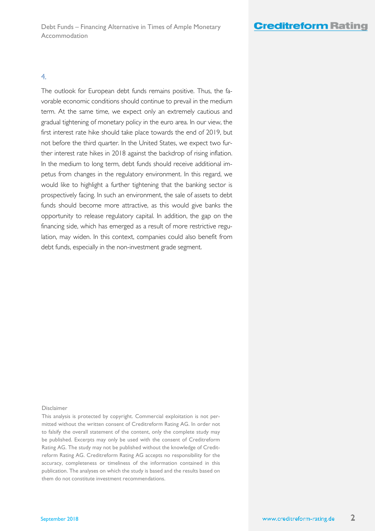### 4.

The outlook for European debt funds remains positive. Thus, the favorable economic conditions should continue to prevail in the medium term. At the same time, we expect only an extremely cautious and gradual tightening of monetary policy in the euro area. In our view, the first interest rate hike should take place towards the end of 2019, but not before the third quarter. In the United States, we expect two further interest rate hikes in 2018 against the backdrop of rising inflation. In the medium to long term, debt funds should receive additional impetus from changes in the regulatory environment. In this regard, we would like to highlight a further tightening that the banking sector is prospectively facing. In such an environment, the sale of assets to debt funds should become more attractive, as this would give banks the opportunity to release regulatory capital. In addition, the gap on the financing side, which has emerged as a result of more restrictive regulation, may widen. In this context, companies could also benefit from debt funds, especially in the non-investment grade segment.

### Disclaimer

This analysis is protected by copyright. Commercial exploitation is not permitted without the written consent of Creditreform Rating AG. In order not to falsify the overall statement of the content, only the complete study may be published. Excerpts may only be used with the consent of Creditreform Rating AG. The study may not be published without the knowledge of Creditreform Rating AG. Creditreform Rating AG accepts no responsibility for the accuracy, completeness or timeliness of the information contained in this publication. The analyses on which the study is based and the results based on them do not constitute investment recommendations.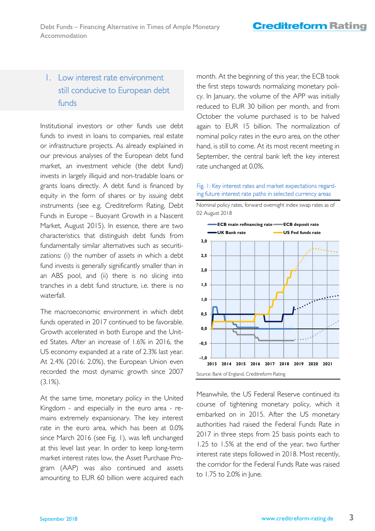# 1. Low interest rate environment still conducive to European debt funds

Institutional investors or other funds use debt funds to invest in loans to companies, real estate or infrastructure projects. As already explained in our previous analyses of the European debt fund market, an investment vehicle (the debt fund) invests in largely illiquid and non-tradable loans or grants loans directly. A debt fund is financed by equity in the form of shares or by issuing debt instruments (see e.g. Creditreform Rating, Debt Funds in Europe – Buoyant Growth in a Nascent Market, August 2015). In essence, there are two characteristics that distinguish debt funds from fundamentally similar alternatives such as securitizations: (i) the number of assets in which a debt fund invests is generally significantly smaller than in an ABS pool, and (ii) there is no slicing into tranches in a debt fund structure, i.e. there is no waterfall.

The macroeconomic environment in which debt funds operated in 2017 continued to be favorable. Growth accelerated in both Europe and the United States. After an increase of 1.6% in 2016, the US economy expanded at a rate of 2.3% last year. At 2.4% (2016: 2.0%), the European Union even recorded the most dynamic growth since 2007  $(3.1\%)$ .

At the same time, monetary policy in the United Kingdom - and especially in the euro area - remains extremely expansionary. The key interest rate in the euro area, which has been at 0.0% since March 2016 (see Fig. 1), was left unchanged at this level last year. In order to keep long-term market interest rates low, the Asset Purchase Program (AAP) was also continued and assets amounting to EUR 60 billion were acquired each month. At the beginning of this year, the ECB took the first steps towards normalizing monetary policy. In January, the volume of the APP was initially reduced to EUR 30 billion per month, and from October the volume purchased is to be halved again to EUR 15 billion. The normalization of nominal policy rates in the euro area, on the other hand, is still to come. At its most recent meeting in September, the central bank left the key interest rate unchanged at 0.0%.

### Fig. 1: Key interest rates and market expectations regarding future interest rate paths in selected currency areas



Meanwhile, the US Federal Reserve continued its course of tightening monetary policy, which it embarked on in 2015. After the US monetary authorities had raised the Federal Funds Rate in 2017 in three steps from 25 basis points each to 1.25 to 1.5% at the end of the year, two further interest rate steps followed in 2018. Most recently, the corridor for the Federal Funds Rate was raised to 1.75 to 2.0% in June.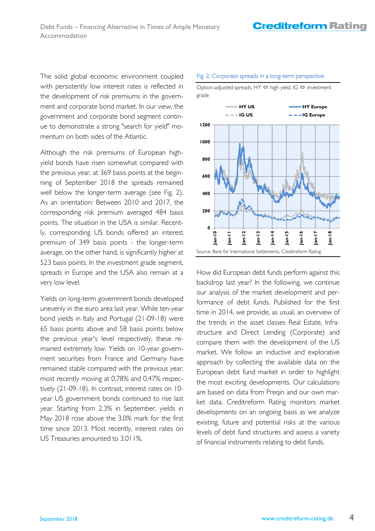The solid global economic environment coupled with persistently low interest rates is reflected in the development of risk premiums in the government and corporate bond market. In our view, the government and corporate bond segment continue to demonstrate a strong "search for yield" momentum on both sides of the Atlantic.

Although the risk premiums of European highyield bonds have risen somewhat compared with the previous year, at 369 basis points at the beginning of September 2018 the spreads remained well below the longer-term average (see Fig. 2). As an orientation: Between 2010 and 2017, the corresponding risk premium averaged 484 basis points. The situation in the USA is similar. Recently, corresponding US bonds offered an interest premium of 349 basis points - the longer-term average, on the other hand, is significantly higher at 523 basis points. In the investment grade segment, spreads in Europe and the USA also remain at a very low level.

Yields on long-term government bonds developed unevenly in the euro area last year. While ten-year bond yields in Italy and Portugal (21-09-18) were 65 basis points above and 58 basis points below the previous year's level respectively, these remained extremely low. Yields on 10-year government securities from France and Germany have remained stable compared with the previous year, most recently moving at 0.78% and 0.47% respectively (21-09-18). In contrast, interest rates on 10 year US government bonds continued to rise last year. Starting from 2.3% in September, yields in May 2018 rose above the 3.0% mark for the first time since 2013. Most recently, interest rates on US Treasuries amounted to 3.011%.

### Fig. 2: Corporate spreads in a long-term perspective

Option-adjusted spreads, HY  $\Leftrightarrow$  high yield, IG  $\Leftrightarrow$  investment grade



How did European debt funds perform against this backdrop last year? In the following, we continue our analysis of the market development and performance of debt funds. Published for the first time in 2014, we provide, as usual, an overview of the trends in the asset classes Real Estate, Infrastructure and Direct Lending (Corporate) and compare them with the development of the US market. We follow an inductive and explorative approach by collecting the available data on the European debt fund market in order to highlight the most exciting developments. Our calculations are based on data from Preqin and our own market data. Creditreform Rating monitors market developments on an ongoing basis as we analyze existing, future and potential risks at the various levels of debt fund structures and assess a variety of financial instruments relating to debt funds.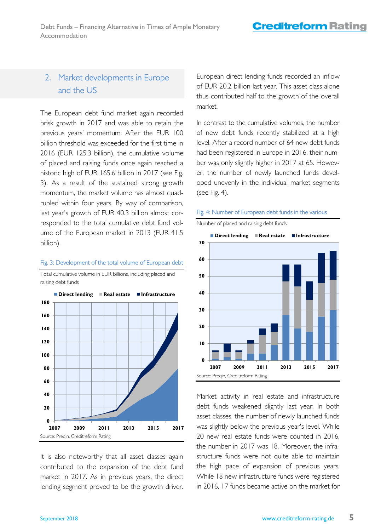# 2. Market developments in Europe and the US

The European debt fund market again recorded brisk growth in 2017 and was able to retain the previous years' momentum. After the EUR 100 billion threshold was exceeded for the first time in 2016 (EUR 125.3 billion), the cumulative volume of placed and raising funds once again reached a historic high of EUR 165.6 billion in 2017 (see Fig. 3). As a result of the sustained strong growth momentum, the market volume has almost quadrupled within four years. By way of comparison, last year's growth of EUR 40.3 billion almost corresponded to the total cumulative debt fund volume of the European market in 2013 (EUR 41.5 billion).

### Fig. 3: Development of the total volume of European debt

Total cumulative volume in EUR billions, including placed and raising debt funds

It is also noteworthy that all asset classes again contributed to the expansion of the debt fund market in 2017. As in previous years, the direct lending segment proved to be the growth driver. European direct lending funds recorded an inflow of EUR 20.2 billion last year. This asset class alone thus contributed half to the growth of the overall market.

In contrast to the cumulative volumes, the number of new debt funds recently stabilized at a high level. After a record number of 64 new debt funds had been registered in Europe in 2016, their number was only slightly higher in 2017 at 65. However, the number of newly launched funds developed unevenly in the individual market segments (see Fig. 4).



### Fig. 4: Number of European debt funds in the various

Market activity in real estate and infrastructure debt funds weakened slightly last year. In both asset classes, the number of newly launched funds was slightly below the previous year's level. While 20 new real estate funds were counted in 2016, the number in 2017 was 18. Moreover, the infrastructure funds were not quite able to maintain the high pace of expansion of previous years. While 18 new infrastructure funds were registered in 2016, 17 funds became active on the market for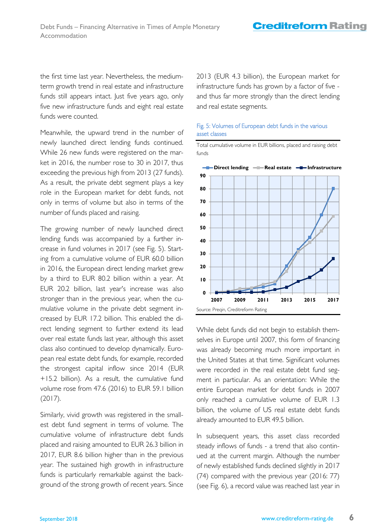the first time last year. Nevertheless, the mediumterm growth trend in real estate and infrastructure funds still appears intact. Just five years ago, only five new infrastructure funds and eight real estate funds were counted.

Meanwhile, the upward trend in the number of newly launched direct lending funds continued. While 26 new funds were registered on the market in 2016, the number rose to 30 in 2017, thus exceeding the previous high from 2013 (27 funds). As a result, the private debt segment plays a key role in the European market for debt funds, not only in terms of volume but also in terms of the number of funds placed and raising.

The growing number of newly launched direct lending funds was accompanied by a further increase in fund volumes in 2017 (see Fig. 5). Starting from a cumulative volume of EUR 60.0 billion in 2016, the European direct lending market grew by a third to EUR 80.2 billion within a year. At EUR 20.2 billion, last year's increase was also stronger than in the previous year, when the cumulative volume in the private debt segment increased by EUR 17.2 billion. This enabled the direct lending segment to further extend its lead over real estate funds last year, although this asset class also continued to develop dynamically. European real estate debt funds, for example, recorded the strongest capital inflow since 2014 (EUR +15.2 billion). As a result, the cumulative fund volume rose from 47.6 (2016) to EUR 59.1 billion (2017).

Similarly, vivid growth was registered in the smallest debt fund segment in terms of volume. The cumulative volume of infrastructure debt funds placed and raising amounted to EUR 26.3 billion in 2017, EUR 8.6 billion higher than in the previous year. The sustained high growth in infrastructure funds is particularly remarkable against the background of the strong growth of recent years. Since

2013 (EUR 4.3 billion), the European market for infrastructure funds has grown by a factor of five and thus far more strongly than the direct lending and real estate segments.

### Fig. 5: Volumes of European debt funds in the various asset classes

Total cumulative volume in EUR billions, placed and raising debt funds



While debt funds did not begin to establish themselves in Europe until 2007, this form of financing was already becoming much more important in the United States at that time. Significant volumes were recorded in the real estate debt fund segment in particular. As an orientation: While the entire European market for debt funds in 2007 only reached a cumulative volume of EUR 1.3 billion, the volume of US real estate debt funds already amounted to EUR 49.5 billion.

In subsequent years, this asset class recorded steady inflows of funds - a trend that also continued at the current margin. Although the number of newly established funds declined slightly in 2017 (74) compared with the previous year (2016: 77) (see Fig. 6), a record value was reached last year in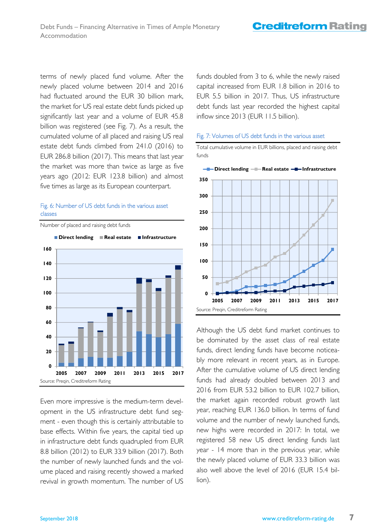terms of newly placed fund volume. After the newly placed volume between 2014 and 2016 had fluctuated around the EUR 30 billion mark, the market for US real estate debt funds picked up significantly last year and a volume of EUR 45.8 billion was registered (see Fig. 7). As a result, the cumulated volume of all placed and raising US real estate debt funds climbed from 241.0 (2016) to EUR 286.8 billion (2017). This means that last year the market was more than twice as large as five years ago (2012: EUR 123.8 billion) and almost five times as large as its European counterpart.

### Fig. 6: Number of US debt funds in the various asset classes



Even more impressive is the medium-term development in the US infrastructure debt fund segment - even though this is certainly attributable to base effects. Within five years, the capital tied up in infrastructure debt funds quadrupled from EUR 8.8 billion (2012) to EUR 33.9 billion (2017). Both the number of newly launched funds and the volume placed and raising recently showed a marked revival in growth momentum. The number of US funds doubled from 3 to 6, while the newly raised capital increased from EUR 1.8 billion in 2016 to EUR 5.5 billion in 2017. Thus, US infrastructure debt funds last year recorded the highest capital inflow since 2013 (EUR 11.5 billion).

### Fig. 7: Volumes of US debt funds in the various asset

Total cumulative volume in EUR billions, placed and raising debt funds



Although the US debt fund market continues to be dominated by the asset class of real estate funds, direct lending funds have become noticeably more relevant in recent years, as in Europe. After the cumulative volume of US direct lending funds had already doubled between 2013 and 2016 from EUR 53.2 billion to EUR 102.7 billion, the market again recorded robust growth last year, reaching EUR 136.0 billion. In terms of fund volume and the number of newly launched funds, new highs were recorded in 2017: In total, we registered 58 new US direct lending funds last year - 14 more than in the previous year, while the newly placed volume of EUR 33.3 billion was also well above the level of 2016 (EUR 15.4 billion).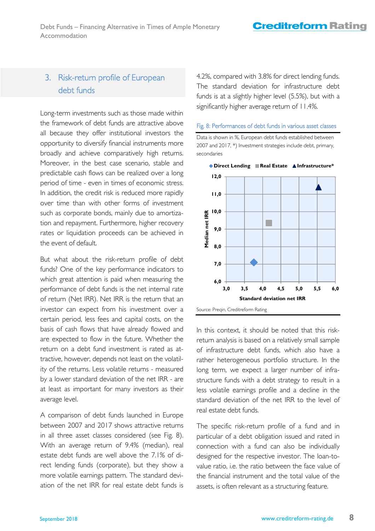# 3. Risk-return profile of European debt funds

Long-term investments such as those made within the framework of debt funds are attractive above all because they offer institutional investors the opportunity to diversify financial instruments more broadly and achieve comparatively high returns. Moreover, in the best case scenario, stable and predictable cash flows can be realized over a long period of time - even in times of economic stress. In addition, the credit risk is reduced more rapidly over time than with other forms of investment such as corporate bonds, mainly due to amortization and repayment. Furthermore, higher recovery rates or liquidation proceeds can be achieved in the event of default.

But what about the risk-return profile of debt funds? One of the key performance indicators to which great attention is paid when measuring the performance of debt funds is the net internal rate of return (Net IRR). Net IRR is the return that an investor can expect from his investment over a certain period, less fees and capital costs, on the basis of cash flows that have already flowed and are expected to flow in the future. Whether the return on a debt fund investment is rated as attractive, however, depends not least on the volatility of the returns. Less volatile returns - measured by a lower standard deviation of the net IRR - are at least as important for many investors as their average level.

A comparison of debt funds launched in Europe between 2007 and 2017 shows attractive returns in all three asset classes considered (see Fig. 8). With an average return of 9.4% (median), real estate debt funds are well above the 7.1% of direct lending funds (corporate), but they show a more volatile earnings pattern. The standard deviation of the net IRR for real estate debt funds is 4.2%, compared with 3.8% for direct lending funds. The standard deviation for infrastructure debt funds is at a slightly higher level (5.5%), but with a significantly higher average return of 11.4%.

Fig. 8: Performances of debt funds in various asset classes





Source: Preqin, Creditreform Rating

In this context, it should be noted that this riskreturn analysis is based on a relatively small sample of infrastructure debt funds, which also have a rather heterogeneous portfolio structure. In the long term, we expect a larger number of infrastructure funds with a debt strategy to result in a less volatile earnings profile and a decline in the standard deviation of the net IRR to the level of real estate debt funds.

The specific risk-return profile of a fund and in particular of a debt obligation issued and rated in connection with a fund can also be individually designed for the respective investor. The loan-tovalue ratio, i.e. the ratio between the face value of the financial instrument and the total value of the assets, is often relevant as a structuring feature.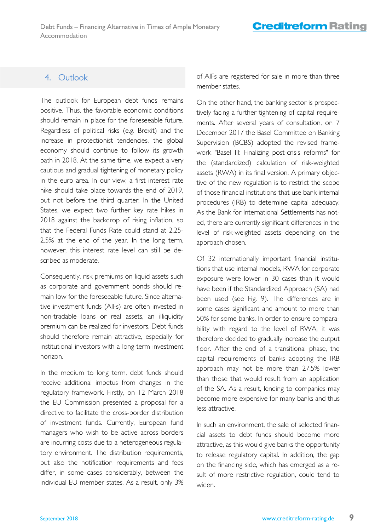## 4. Outlook

The outlook for European debt funds remains positive. Thus, the favorable economic conditions should remain in place for the foreseeable future. Regardless of political risks (e.g. Brexit) and the increase in protectionist tendencies, the global economy should continue to follow its growth path in 2018. At the same time, we expect a very cautious and gradual tightening of monetary policy in the euro area. In our view, a first interest rate hike should take place towards the end of 2019, but not before the third quarter. In the United States, we expect two further key rate hikes in 2018 against the backdrop of rising inflation, so that the Federal Funds Rate could stand at 2.25- 2.5% at the end of the year. In the long term, however, this interest rate level can still be described as moderate.

Consequently, risk premiums on liquid assets such as corporate and government bonds should remain low for the foreseeable future. Since alternative investment funds (AIFs) are often invested in non-tradable loans or real assets, an illiquidity premium can be realized for investors. Debt funds should therefore remain attractive, especially for institutional investors with a long-term investment horizon.

In the medium to long term, debt funds should receive additional impetus from changes in the regulatory framework. Firstly, on 12 March 2018 the EU Commission presented a proposal for a directive to facilitate the cross-border distribution of investment funds. Currently, European fund managers who wish to be active across borders are incurring costs due to a heterogeneous regulatory environment. The distribution requirements, but also the notification requirements and fees differ, in some cases considerably, between the individual EU member states. As a result, only 3% of AIFs are registered for sale in more than three member states.

On the other hand, the banking sector is prospectively facing a further tightening of capital requirements. After several years of consultation, on 7 December 2017 the Basel Committee on Banking Supervision (BCBS) adopted the revised framework "Basel III: Finalizing post-crisis reforms" for the (standardized) calculation of risk-weighted assets (RWA) in its final version. A primary objective of the new regulation is to restrict the scope of those financial institutions that use bank internal procedures (IRB) to determine capital adequacy. As the Bank for International Settlements has noted, there are currently significant differences in the level of risk-weighted assets depending on the approach chosen.

Of 32 internationally important financial institutions that use internal models, RWA for corporate exposure were lower in 30 cases than it would have been if the Standardized Approach (SA) had been used (see Fig. 9). The differences are in some cases significant and amount to more than 50% for some banks. In order to ensure comparability with regard to the level of RWA, it was therefore decided to gradually increase the output floor. After the end of a transitional phase, the capital requirements of banks adopting the IRB approach may not be more than 27.5% lower than those that would result from an application of the SA. As a result, lending to companies may become more expensive for many banks and thus less attractive.

In such an environment, the sale of selected financial assets to debt funds should become more attractive, as this would give banks the opportunity to release regulatory capital. In addition, the gap on the financing side, which has emerged as a result of more restrictive regulation, could tend to widen.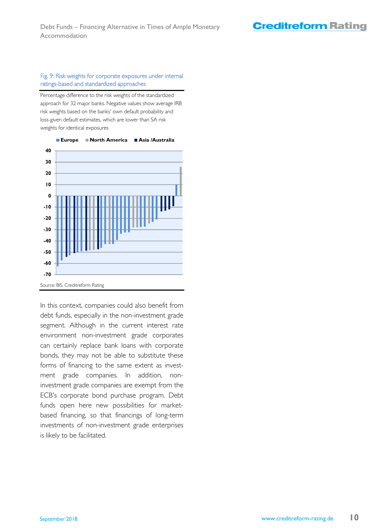## **Creditreform Rating**

### Fig. 9: Risk weights for corporate exposures under internal ratings-based and standardized approaches

Percentage difference to the risk weights of the standardized approach for 32 major banks. Negative values show average IRB risk weights based on the banks' own default probability and loss-given default estimates, which are lower than SA risk weights for identical exposures



In this context, companies could also benefit from debt funds, especially in the non-investment grade segment. Although in the current interest rate environment non-investment grade corporates can certainly replace bank loans with corporate bonds, they may not be able to substitute these forms of financing to the same extent as investment grade companies. In addition, noninvestment grade companies are exempt from the ECB's corporate bond purchase program. Debt funds open here new possibilities for marketbased financing, so that financings of long-term investments of non-investment grade enterprises is likely to be facilitated.